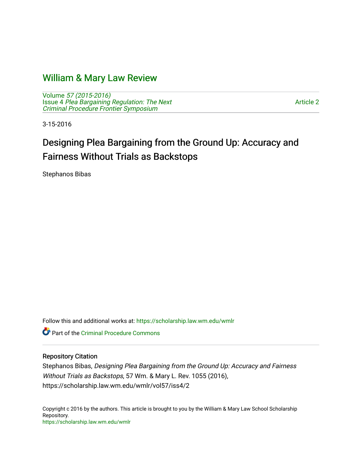# [William & Mary Law Review](https://scholarship.law.wm.edu/wmlr)

Volume [57 \(2015-2016\)](https://scholarship.law.wm.edu/wmlr/vol57)  Issue 4 [Plea Bargaining Regulation: The Next](https://scholarship.law.wm.edu/wmlr/vol57/iss4) [Criminal Procedure Frontier Symposium](https://scholarship.law.wm.edu/wmlr/vol57/iss4)

[Article 2](https://scholarship.law.wm.edu/wmlr/vol57/iss4/2) 

3-15-2016

# Designing Plea Bargaining from the Ground Up: Accuracy and Fairness Without Trials as Backstops

Stephanos Bibas

Follow this and additional works at: [https://scholarship.law.wm.edu/wmlr](https://scholarship.law.wm.edu/wmlr?utm_source=scholarship.law.wm.edu%2Fwmlr%2Fvol57%2Fiss4%2F2&utm_medium=PDF&utm_campaign=PDFCoverPages)

Part of the [Criminal Procedure Commons](http://network.bepress.com/hgg/discipline/1073?utm_source=scholarship.law.wm.edu%2Fwmlr%2Fvol57%2Fiss4%2F2&utm_medium=PDF&utm_campaign=PDFCoverPages) 

# Repository Citation

Stephanos Bibas, Designing Plea Bargaining from the Ground Up: Accuracy and Fairness Without Trials as Backstops, 57 Wm. & Mary L. Rev. 1055 (2016), https://scholarship.law.wm.edu/wmlr/vol57/iss4/2

Copyright c 2016 by the authors. This article is brought to you by the William & Mary Law School Scholarship Repository. <https://scholarship.law.wm.edu/wmlr>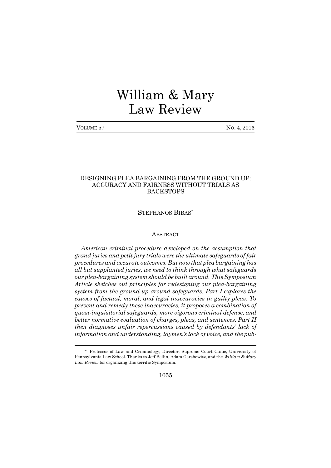# William & Mary Law Review

No. 4, 2016

# DESIGNING PLEA BARGAINING FROM THE GROUND UP: ACCURACY AND FAIRNESS WITHOUT TRIALS AS BACKSTOPS

STEPHANOS BIBAS\*

# **ABSTRACT**

*American criminal procedure developed on the assumption that grand juries and petit jury trials were the ultimate safeguards of fair procedures and accurate outcomes. But now that plea bargaining has all but supplanted juries, we need to think through what safeguards our plea-bargaining system should be built around. This Symposium Article sketches out principles for redesigning our plea-bargaining system from the ground up around safeguards. Part I explores the causes of factual, moral, and legal inaccuracies in guilty pleas. To prevent and remedy these inaccuracies, it proposes a combination of quasi-inquisitorial safeguards, more vigorous criminal defense, and better normative evaluation of charges, pleas, and sentences. Part II then diagnoses unfair repercussions caused by defendants lack of*  $i$ *nformation* and *understanding*, *laymen's lack of voice*, and *the pub-*

1055

<sup>\*</sup> Professor of Law and Criminology; Director, Supreme Court Clinic, University of Pennsylvania Law School. Thanks to Jeff Bellin, Adam Gershowitz, and the *William & Mary Law Review* for organizing this terrific Symposium.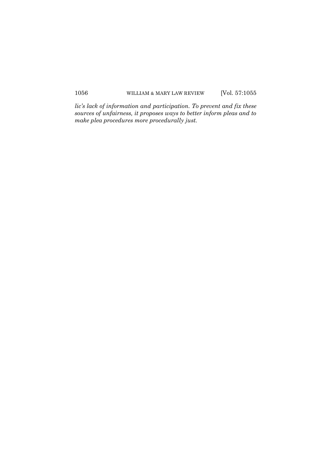*lics lack of information and participation. To prevent and fix these sources of unfairness, it proposes ways to better inform pleas and to make plea procedures more procedurally just.*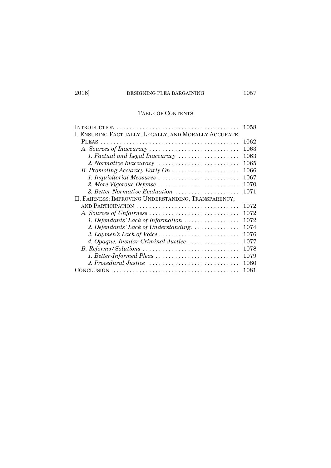# TABLE OF CONTENTS

|                                                                                 | 1058 |
|---------------------------------------------------------------------------------|------|
| I. ENSURING FACTUALLY, LEGALLY, AND MORALLY ACCURATE                            |      |
|                                                                                 | 1062 |
|                                                                                 | 1063 |
| 1. Factual and Legal Inaccuracy                                                 | 1063 |
|                                                                                 | 1065 |
| B. Promoting Accuracy Early On                                                  | 1066 |
| 1. Inquisitorial Measures                                                       | 1067 |
| 2. More Vigorous Defense                                                        | 1070 |
| 3. Better Normative Evaluation                                                  | 1071 |
| II. FAIRNESS: IMPROVING UNDERSTANDING, TRANSPARENCY,                            |      |
|                                                                                 | 1072 |
|                                                                                 | 1072 |
| 1. Defendants' Lack of Information                                              | 1072 |
| 2. Defendants' Lack of Understanding.                                           | 1074 |
| 3. Laymen's Lack of Voice $\dots \dots \dots \dots \dots \dots \dots \dots$     | 1076 |
| 4. Opaque, Insular Criminal Justice                                             | 1077 |
| $B.$ Reforms/Solutions                                                          | 1078 |
| 1. Better-Informed Pleas                                                        | 1079 |
| 2. Procedural Justice $\ldots \ldots \ldots \ldots \ldots \ldots \ldots \ldots$ | 1080 |
| <b>CONCLUSION</b>                                                               | 1081 |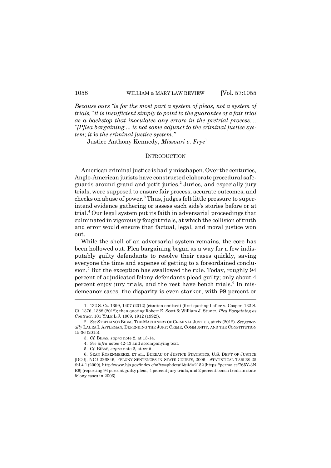*Because ours is for the most part a system of pleas, not a system of trials, it is insufficient simply to point to the guarantee of a fair trial as a backstop that inoculates any errors in the pretrial process.... [P]lea bargaining ... is not some adjunct to the criminal justice system; it* is *the criminal justice system.*

Justice Anthony Kennedy, *Missouri v. Frye*<sup>1</sup>

#### **INTRODUCTION**

American criminal justice is badly misshapen. Over the centuries, Anglo-American jurists have constructed elaborate procedural safeguards around grand and petit juries.<sup>2</sup> Juries, and especially jury trials, were supposed to ensure fair process, accurate outcomes, and checks on abuse of power.<sup>3</sup> Thus, judges felt little pressure to superintend evidence gathering or assess each side's stories before or at trial.<sup>4</sup> Our legal system put its faith in adversarial proceedings that culminated in vigorously fought trials, at which the collision of truth and error would ensure that factual, legal, and moral justice won out.

While the shell of an adversarial system remains, the core has been hollowed out. Plea bargaining began as a way for a few indisputably guilty defendants to resolve their cases quickly, saving everyone the time and expense of getting to a foreordained conclusion.<sup>5</sup> But the exception has swallowed the rule. Today, roughly 94 percent of adjudicated felony defendants plead guilty; only about 4 percent enjoy jury trials, and the rest have bench trials.<sup>6</sup> In misdemeanor cases, the disparity is even starker, with 99 percent or

<sup>1. 132</sup> S. Ct. 1399, 1407 (2012) (citation omitted) (first quoting Lafler v. Cooper, 132 S. Ct. 1376, 1388 (2012); then quoting Robert E. Scott & William J. Stuntz, *Plea Bargaining as Contract*, 101 YALE L.J. 1909, 1912 (1992)).

<sup>2.</sup> *See* STEPHANOS BIBAS,THEMACHINERY OF CRIMINAL JUSTICE, at xix (2012). *See generally* LAURA I. APPLEMAN, DEFENDING THE JURY: CRIME, COMMUNITY, AND THE CONSTITUTION 15-36 (2015).

<sup>3.</sup> *Cf.* BIBAS, *supra* note 2, at 13-14.

<sup>4.</sup> *See infra* notes 42-43 and accompanying text.

<sup>5.</sup> *Cf.* BIBAS, *supra* note 2, at xviii.

<sup>6.</sup> SEAN ROSENMERKEL ET AL., BUREAU OF JUSTICE STATISTICS, U.S. DEPT OF JUSTICE [DOJ], NCJ 226846, FELONY SENTENCES IN STATE COURTS, 2006-STATISTICAL TABLES 25 tbl.4.1 (2009), http://www.bjs.gov/index.cfm?ty=pbdetail&iid=2152 [https://perma.cc/765Y-3N E6] (reporting 94 percent guilty pleas, 4 percent jury trials, and 2 percent bench trials in state felony cases in 2006).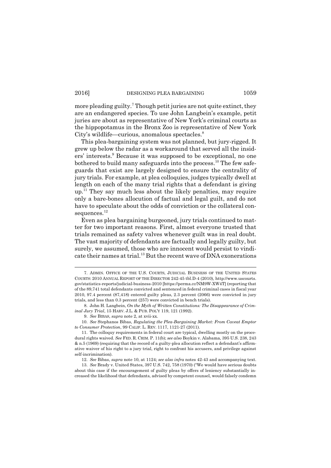more pleading guilty.<sup>7</sup> Though petit juries are not quite extinct, they are an endangered species. To use John Langbein's example, petit juries are about as representative of New York's criminal courts as the hippopotamus in the Bronx Zoo is representative of New York City's wildlife—curious, anomalous spectacles. $8$ 

This plea-bargaining system was not planned, but jury-rigged. It grew up below the radar as a workaround that served all the insiders' interests.<sup>9</sup> Because it was supposed to be exceptional, no one bothered to build many safeguards into the process.<sup>10</sup> The few safeguards that exist are largely designed to ensure the centrality of jury trials. For example, at plea colloquies, judges typically dwell at length on each of the many trial rights that a defendant is giving  $up<sup>11</sup>$ . They say much less about the likely penalties, may require only a bare-bones allocution of factual and legal guilt, and do not have to speculate about the odds of conviction or the collateral consequences.<sup>12</sup>

Even as plea bargaining burgeoned, jury trials continued to matter for two important reasons. First, almost everyone trusted that trials remained as safety valves whenever guilt was in real doubt. The vast majority of defendants are factually and legally guilty, but surely, we assumed, those who are innocent would persist to vindicate their names at trial.<sup>13</sup> But the recent wave of DNA exonerations

10. *See* Stephanos Bibas, *Regulating the Plea-Bargaining Market: From Caveat Emptor to Consumer Protection*, 99 CALIF. L. REV. 1117, 1121-27 (2011).

<sup>7.</sup> ADMIN. OFFICE OF THE U.S. COURTS, JUDICIAL BUSINESS OF THE UNITED STATES COURTS: 2010 ANNUAL REPORT OF THE DIRECTOR 242-45 tbl.D-4 (2010), http://www.uscourts. gov/statistics-reports/judicial-business-2010 [https://perma.cc/NM9W-XW4T] (reporting that of the 89,741 total defendants convicted and sentenced in federal criminal cases in fiscal year 2010, 97.4 percent (87,418) entered guilty pleas, 2.3 percent (2066) were convicted in jury trials, and less than 0.3 percent (257) were convicted in bench trials).

<sup>8.</sup> John H. Langbein, *On the Myth of Written Constitutions: The Disappearance of Criminal Jury Trial*, 15 HARV. J.L. & PUB. POLY 119, 121 (1992).

<sup>9.</sup> *See* BIBAS, *supra* note 2, at xvii-xx.

<sup>11.</sup> The colloquy requirements in federal court are typical, dwelling mostly on the procedural rights waived. *See* FED. R. CRIM. P. 11(b); *see also* Boykin v. Alabama, 395 U.S. 238, 243 & n.5 (1969) (requiring that the record of a guilty-plea allocution reflect a defendant's affirmative waiver of his right to a jury trial, right to confront his accusers, and privilege against self-incrimination).

<sup>12.</sup> *See* Bibas, *supra* note 10, at 1124; *see also infra* notes 42-43 and accompanying text.

<sup>13.</sup> See Brady v. United States, 397 U.S. 742, 758 (1970) ("We would have serious doubts about this case if the encouragement of guilty pleas by offers of leniency substantially increased the likelihood that defendants, advised by competent counsel, would falsely condemn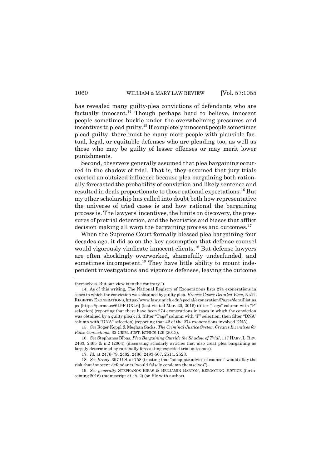has revealed many guilty-plea convictions of defendants who are factually innocent.<sup>14</sup> Though perhaps hard to believe, innocent people sometimes buckle under the overwhelming pressures and incentives to plead guilty.<sup>15</sup> If completely innocent people sometimes plead guilty, there must be many more people with plausible factual, legal, or equitable defenses who are pleading too, as well as those who may be guilty of lesser offenses or may merit lower punishments.

Second, observers generally assumed that plea bargaining occurred in the shadow of trial. That is, they assumed that jury trials exerted an outsized influence because plea bargaining both rationally forecasted the probability of conviction and likely sentence and resulted in deals proportionate to those rational expectations.<sup>16</sup> But my other scholarship has called into doubt both how representative the universe of tried cases is and how rational the bargaining process is. The lawyers' incentives, the limits on discovery, the pressures of pretrial detention, and the heuristics and biases that afflict decision making all warp the bargaining process and outcomes.<sup>17</sup>

When the Supreme Court formally blessed plea bargaining four decades ago, it did so on the key assumption that defense counsel would vigorously vindicate innocent clients.<sup>18</sup> But defense lawyers are often shockingly overworked, shamefully underfunded, and sometimes incompetent. $^{19}$  They have little ability to mount independent investigations and vigorous defenses, leaving the outcome

themselves. But our view is to the contrary.").

<sup>14.</sup> As of this writing, The National Registry of Exonerations lists 274 exonerations in cases in which the conviction was obtained by guilty plea. *Browse Cases: Detailed View*, NATL REGISTRYEXONERATIONS, https://www.law.umich.edu/special/exoneration/Pages/detaillist.as px [https://perma.cc/6L9F-GXL6] (last visited Mar. 20, 2016) (filter "Tags" column with "P" selection) (reporting that there have been 274 exonerations in cases in which the conviction was obtained by a guilty plea); *id.* (filter "Tags" column with "P" selection; then filter "DNA" column with "DNA" selection) (reporting that  $42$  of the  $274$  exonerations involved DNA).

<sup>15.</sup> *See* Roger Koppl & Meghan Sacks, *The Criminal Justice System Creates Incentives for False Convictions*, 32 CRIM. JUST. ETHICS 126 (2013).

<sup>16.</sup> *See* Stephanos Bibas, *Plea Bargaining Outside the Shadow of Trial*, 117 HARV.L. REV. 2463, 2465 & n.2 (2004) (discussing scholarly articles that also treat plea bargaining as largely determined by rationally forecasting expected trial outcomes).

<sup>17.</sup> *Id.* at 2476-79, 2482, 2486, 2493-507, 2514, 2523.

<sup>18.</sup> *See Brady*, 397 U.S. at 758 (trusting that "adequate advice of counsel" would allay the risk that innocent defendants "would falsely condemn themselves").

<sup>19.</sup> *See generally* STEPHANOS BIBAS & BENJAMIN BARTON, REBOOTING JUSTICE (forthcoming 2016) (manuscript at ch. 2) (on file with author).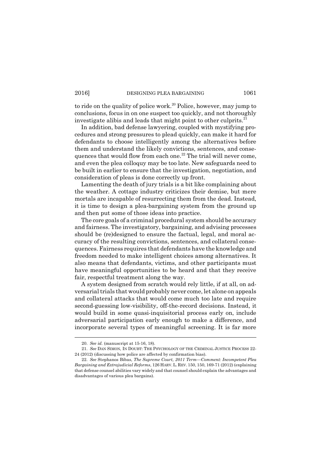to ride on the quality of police work.<sup>20</sup> Police, however, may jump to conclusions, focus in on one suspect too quickly, and not thoroughly investigate alibis and leads that might point to other culprits.<sup>21</sup>

In addition, bad defense lawyering, coupled with mystifying procedures and strong pressures to plead quickly, can make it hard for defendants to choose intelligently among the alternatives before them and understand the likely convictions, sentences, and consequences that would flow from each one.<sup>22</sup> The trial will never come, and even the plea colloquy may be too late. New safeguards need to be built in earlier to ensure that the investigation, negotiation, and consideration of pleas is done correctly up front.

Lamenting the death of jury trials is a bit like complaining about the weather. A cottage industry criticizes their demise, but mere mortals are incapable of resurrecting them from the dead. Instead, it is time to design a plea-bargaining system from the ground up and then put some of those ideas into practice.

The core goals of a criminal procedural system should be accuracy and fairness. The investigatory, bargaining, and advising processes should be (re)designed to ensure the factual, legal, and moral accuracy of the resulting convictions, sentences, and collateral consequences. Fairness requires that defendants have the knowledge and freedom needed to make intelligent choices among alternatives. It also means that defendants, victims, and other participants must have meaningful opportunities to be heard and that they receive fair, respectful treatment along the way.

A system designed from scratch would rely little, if at all, on adversarial trials that would probably never come, let alone on appeals and collateral attacks that would come much too late and require second-guessing low-visibility, off-the-record decisions. Instead, it would build in some quasi-inquisitorial process early on, include adversarial participation early enough to make a difference, and incorporate several types of meaningful screening. It is far more

<sup>20.</sup> *See id.* (manuscript at 15-16, 18).

<sup>21.</sup> *See* DAN SIMON, IN DOUBT: THE PSYCHOLOGY OF THE CRIMINAL JUSTICE PROCESS 22- 24 (2012) (discussing how police are affected by confirmation bias).

<sup>22.</sup> *See* Stephanos Bibas, *The Supreme Court, 2011 TermComment: Incompetent Plea Bargaining and Extrajudicial Reforms*, 126 HARV.L. REV. 150, 150, 169-71 (2012) (explaining that defense counsel abilities vary widely and that counsel should explain the advantages and disadvantages of various plea bargains).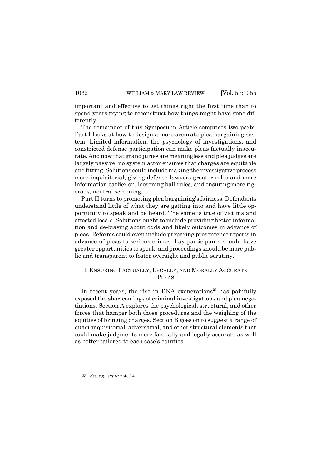important and effective to get things right the first time than to spend years trying to reconstruct how things might have gone differently.

The remainder of this Symposium Article comprises two parts. Part I looks at how to design a more accurate plea-bargaining system. Limited information, the psychology of investigations, and constricted defense participation can make pleas factually inaccurate. And now that grand juries are meaningless and plea judges are largely passive, no system actor ensures that charges are equitable and fitting. Solutions could include making the investigative process more inquisitorial, giving defense lawyers greater roles and more information earlier on, loosening bail rules, and ensuring more rigorous, neutral screening.

Part II turns to promoting plea bargaining's fairness. Defendants understand little of what they are getting into and have little opportunity to speak and be heard. The same is true of victims and affected locals. Solutions ought to include providing better information and de-biasing about odds and likely outcomes in advance of pleas. Reforms could even include preparing presentence reports in advance of pleas to serious crimes. Lay participants should have greater opportunities to speak, and proceedings should be more public and transparent to foster oversight and public scrutiny.

# I. ENSURING FACTUALLY, LEGALLY, AND MORALLY ACCURATE PLEAS

In recent years, the rise in DNA exonerations $23$  has painfully exposed the shortcomings of criminal investigations and plea negotiations. Section A explores the psychological, structural, and other forces that hamper both those procedures and the weighing of the equities of bringing charges. Section B goes on to suggest a range of quasi-inquisitorial, adversarial, and other structural elements that could make judgments more factually and legally accurate as well as better tailored to each case's equities.

<sup>23.</sup> *See, e.g.*, *supra* note 14.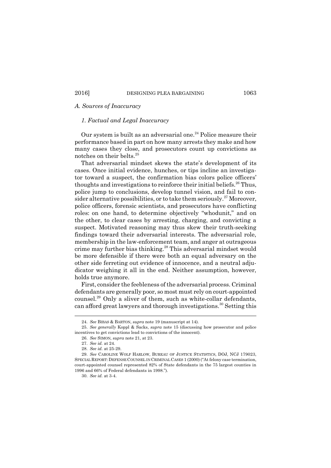# *A. Sources of Inaccuracy*

# *1. Factual and Legal Inaccuracy*

Our system is built as an adversarial one.<sup>24</sup> Police measure their performance based in part on how many arrests they make and how many cases they close, and prosecutors count up convictions as notches on their belts.<sup>25</sup>

That adversarial mindset skews the state's development of its cases. Once initial evidence, hunches, or tips incline an investigator toward a suspect, the confirmation bias colors police officers thoughts and investigations to reinforce their initial beliefs.<sup>26</sup> Thus, police jump to conclusions, develop tunnel vision, and fail to consider alternative possibilities, or to take them seriously.<sup>27</sup> Moreover, police officers, forensic scientists, and prosecutors have conflicting roles: on one hand, to determine objectively "whodunit," and on the other, to clear cases by arresting, charging, and convicting a suspect. Motivated reasoning may thus skew their truth-seeking findings toward their adversarial interests. The adversarial role, membership in the law-enforcement team, and anger at outrageous crime may further bias thinking.<sup>28</sup> This adversarial mindset would be more defensible if there were both an equal adversary on the other side ferreting out evidence of innocence, and a neutral adjudicator weighing it all in the end. Neither assumption, however, holds true anymore.

First, consider the feebleness of the adversarial process. Criminal defendants are generally poor, so most must rely on court-appointed counsel.<sup>29</sup> Only a sliver of them, such as white-collar defendants, can afford great lawyers and thorough investigations.<sup>30</sup> Setting this

<sup>24.</sup> *See* BIBAS & BARTON, *supra* note 19 (manuscript at 14).

<sup>25.</sup> *See generally* Koppl & Sacks, *supra* note 15 (discussing how prosecutor and police incentives to get convictions lead to convictions of the innocent).

<sup>26.</sup> *See* SIMON, *supra* note 21, at 23.

<sup>27.</sup> *See id.* at 24.

<sup>28.</sup> *See id.* at 25-29.

<sup>29.</sup> *See* CAROLINE WOLF HARLOW, BUREAU OF JUSTICE STATISTICS, DOJ, NCJ 179023, SPECIAL REPORT: DEFENSE COUNSEL IN CRIMINAL CASES 1 (2000) ("At felony case termination, court-appointed counsel represented 82% of State defendants in the 75 largest counties in 1996 and 66% of Federal defendants in 1998.).

<sup>30.</sup> *See id.* at 3-4.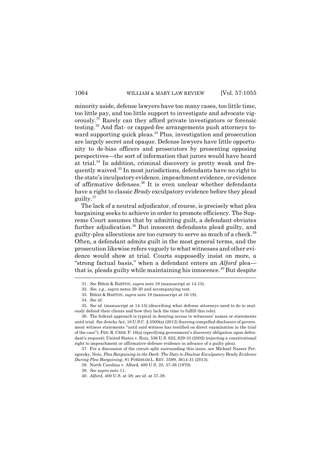minority aside, defense lawyers have too many cases, too little time, too little pay, and too little support to investigate and advocate vigorously.<sup>31</sup> Rarely can they afford private investigators or forensic testing.<sup>32</sup> And flat- or capped-fee arrangements push attorneys toward supporting quick pleas.<sup>33</sup> Plus, investigation and prosecution are largely secret and opaque. Defense lawyers have little opportunity to de-bias officers and prosecutors by presenting opposing perspectives—the sort of information that jurors would have heard at trial. $34$  In addition, criminal discovery is pretty weak and frequently waived.<sup>35</sup> In most jurisdictions, defendants have no right to the state's inculpatory evidence, impeachment evidence, or evidence of affirmative defenses.<sup>36</sup> It is even unclear whether defendants have a right to classic *Brady* exculpatory evidence before they plead guilty.<sup>37</sup>

The lack of a neutral adjudicator, of course, is precisely what plea bargaining seeks to achieve in order to promote efficiency. The Supreme Court assumes that by admitting guilt, a defendant obviates further adjudication.<sup>38</sup> But innocent defendants plead guilty, and guilty-plea allocutions are too cursory to serve as much of a check.<sup>39</sup> Often, a defendant admits guilt in the most general terms, and the prosecution likewise refers vaguely to what witnesses and other evidence would show at trial. Courts supposedly insist on more, a "strong factual basis," when a defendant enters an *Alford* pleathat is, pleads guilty while maintaining his innocence.<sup>40</sup> But despite

36. The federal approach is typical in denying access to witnesses' names or statements until trial. *See* Jencks Act, 18 U.S.C. § 3500(a) (2012) (barring compelled disclosure of government witness statements "until said witness has testified on direct examination in the trial of the case"); FED. R. CRIM. P. 16(a) (specifying government's discovery obligation upon defendant's request); United States v. Ruiz, 536 U.S. 622, 629-33 (2002) (rejecting a constitutional right to impeachment or affirmative-defense evidence in advance of a guilty plea).

37. For a discussion of the circuit split surrounding this issue, see Michael Nasser Petegorsky, Note, *Plea Bargaining in the Dark: The Duty to Disclose Exculpatory* Brady *Evidence During Plea Bargaining*, 81 FORDHAM L. REV. 3599, 3614-31 (2013).

38. North Carolina v. Alford, 400 U.S. 25, 37-38 (1970).

<sup>31.</sup> *See* BIBAS & BARTON, *supra* note 19 (manuscript at 14-15).

<sup>32.</sup> *See, e.g.*, *supra* notes 29-30 and accompanying text.

<sup>33.</sup> BIBAS & BARTON, *supra* note 19 (manuscript at 16-18).

<sup>34.</sup> *See id.*

<sup>35.</sup> *See id.* (manuscript at 14-15) (describing what defense attorneys need to do to zealously defend their clients and how they lack the time to fulfill this role).

<sup>39.</sup> *See supra* note 11.

<sup>40.</sup> *Alford*, 400 U.S. at 38; *see id.* at 37-38.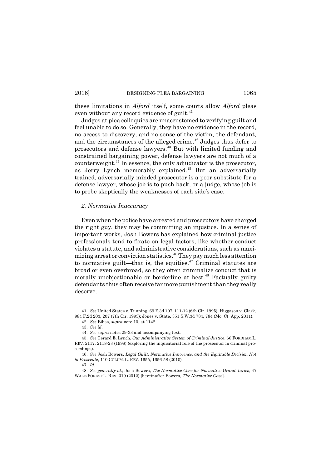these limitations in *Alford* itself, some courts allow *Alford* pleas even without any record evidence of guilt. $41$ 

Judges at plea colloquies are unaccustomed to verifying guilt and feel unable to do so. Generally, they have no evidence in the record, no access to discovery, and no sense of the victim, the defendant, and the circumstances of the alleged crime. $42$  Judges thus defer to prosecutors and defense lawyers.<sup>43</sup> But with limited funding and constrained bargaining power, defense lawyers are not much of a counterweight.<sup>44</sup> In essence, the only adjudicator is the prosecutor, as Jerry Lynch memorably explained.<sup>45</sup> But an adversarially trained, adversarially minded prosecutor is a poor substitute for a defense lawyer, whose job is to push back, or a judge, whose job is to probe skeptically the weaknesses of each side's case.

# *2. Normative Inaccuracy*

Even when the police have arrested and prosecutors have charged the right guy, they may be committing an injustice. In a series of important works, Josh Bowers has explained how criminal justice professionals tend to fixate on legal factors, like whether conduct violates a statute, and administrative considerations, such as maximizing arrest or conviction statistics.<sup>46</sup>They pay much less attention to normative guilt—that is, the equities.<sup> $47$ </sup> Criminal statutes are broad or even overbroad, so they often criminalize conduct that is morally unobjectionable or borderline at best.<sup>48</sup> Factually guilty defendants thus often receive far more punishment than they really deserve.

<sup>41.</sup> *See* United States v. Tunning, 69 F.3d 107, 111-12 (6th Cir. 1995); Higgason v. Clark, 984 F.2d 203, 207 (7th Cir. 1993); Jones v. State, 351 S.W.3d 784, 784 (Mo. Ct. App. 2011).

<sup>42.</sup> *See* Bibas, *supra* note 10, at 1142.

<sup>43.</sup> *See id.*

<sup>44.</sup> *See supra* notes 29-33 and accompanying text.

<sup>45.</sup> *See* Gerard E. Lynch, *Our Administrative System of Criminal Justice*, 66 FORDHAM L. REV. 2117, 2118-23 (1998) (exploring the inquisitorial role of the prosecutor in criminal proceedings).

<sup>46.</sup> *See* Josh Bowers, *Legal Guilt, Normative Innocence, and the Equitable Decision Not to Prosecute*, 110 COLUM. L. REV. 1655, 1656-58 (2010).

<sup>47.</sup> *Id.*

<sup>48.</sup> *See generally id.*; Josh Bowers, *The Normative Case for Normative Grand Juries*, 47 WAKE FOREST L. REV. 319 (2012) [hereinafter Bowers, *The Normative Case*].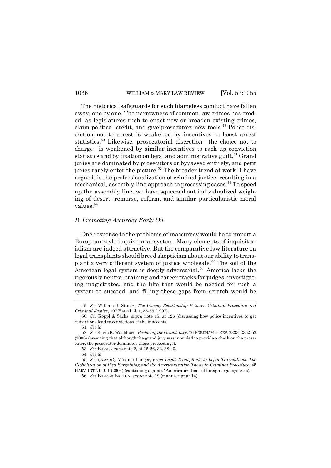The historical safeguards for such blameless conduct have fallen away, one by one. The narrowness of common law crimes has eroded, as legislatures rush to enact new or broaden existing crimes, claim political credit, and give prosecutors new tools.<sup>49</sup> Police discretion not to arrest is weakened by incentives to boost arrest statistics.<sup>50</sup> Likewise, prosecutorial discretion—the choice not to charge—is weakened by similar incentives to rack up conviction statistics and by fixation on legal and administrative guilt.<sup>51</sup> Grand juries are dominated by prosecutors or bypassed entirely, and petit juries rarely enter the picture.<sup>52</sup> The broader trend at work, I have argued, is the professionalization of criminal justice, resulting in a mechanical, assembly-line approach to processing cases.<sup>53</sup> To speed up the assembly line, we have squeezed out individualized weighing of desert, remorse, reform, and similar particularistic moral values.<sup>54</sup>

#### *B. Promoting Accuracy Early On*

One response to the problems of inaccuracy would be to import a European-style inquisitorial system. Many elements of inquisitorialism are indeed attractive. But the comparative law literature on legal transplants should breed skepticism about our ability to transplant a very different system of justice wholesale.<sup>55</sup> The soil of the American legal system is deeply adversarial.<sup>56</sup> America lacks the rigorously neutral training and career tracks for judges, investigating magistrates, and the like that would be needed for such a system to succeed, and filling these gaps from scratch would be

<sup>49.</sup> *See* William J. Stuntz, *The Uneasy Relationship Between Criminal Procedure and Criminal Justice*, 107 YALE L.J. 1, 55-59 (1997).

<sup>50.</sup> *See* Koppl & Sacks, *supra* note 15, at 126 (discussing how police incentives to get convictions lead to convictions of the innocent).

<sup>51.</sup> *See id.*

<sup>52.</sup> *See* Kevin K. Washburn, *Restoring the Grand Jury*, 76 FORDHAM L. REV. 2333, 2352-53 (2008) (asserting that although the grand jury was intended to provide a check on the prosecutor, the prosecutor dominates these proceedings).

<sup>53.</sup> *See* BIBAS, *supra* note 2, at 15-26, 33, 38-40.

<sup>54.</sup> *See id.*

<sup>55.</sup> *See generally* Máximo Langer, *From Legal Transplants to Legal Translations: The Globalization of Plea Bargaining and the Americanization Thesis in Criminal Procedure*, 45 HARV. INT'L L.J. 1 (2004) (cautioning against "Americanization" of foreign legal systems).

<sup>56.</sup> *See* BIBAS & BARTON, *supra* note 19 (manuscript at 14).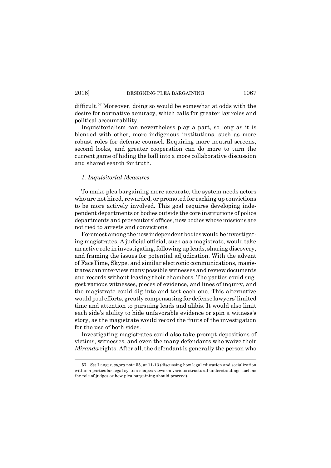difficult.<sup>57</sup> Moreover, doing so would be somewhat at odds with the desire for normative accuracy, which calls for greater lay roles and political accountability.

Inquisitorialism can nevertheless play a part, so long as it is blended with other, more indigenous institutions, such as more robust roles for defense counsel. Requiring more neutral screens, second looks, and greater cooperation can do more to turn the current game of hiding the ball into a more collaborative discussion and shared search for truth.

#### *1. Inquisitorial Measures*

To make plea bargaining more accurate, the system needs actors who are not hired, rewarded, or promoted for racking up convictions to be more actively involved. This goal requires developing independent departments or bodies outside the core institutions of police departments and prosecutors' offices, new bodies whose missions are not tied to arrests and convictions.

Foremost among the new independent bodies would be investigating magistrates. A judicial official, such as a magistrate, would take an active role in investigating, following up leads, sharing discovery, and framing the issues for potential adjudication. With the advent of FaceTime, Skype, and similar electronic communications, magistrates can interview many possible witnesses and review documents and records without leaving their chambers. The parties could suggest various witnesses, pieces of evidence, and lines of inquiry, and the magistrate could dig into and test each one. This alternative would pool efforts, greatly compensating for defense lawyers' limited time and attention to pursuing leads and alibis. It would also limit each side's ability to hide unfavorable evidence or spin a witness's story, as the magistrate would record the fruits of the investigation for the use of both sides.

Investigating magistrates could also take prompt depositions of victims, witnesses, and even the many defendants who waive their *Miranda* rights. After all, the defendant is generally the person who

<sup>57.</sup> *See* Langer, *supra* note 55, at 11-13 (discussing how legal education and socialization within a particular legal system shapes views on various structural understandings such as the role of judges or how plea bargaining should proceed).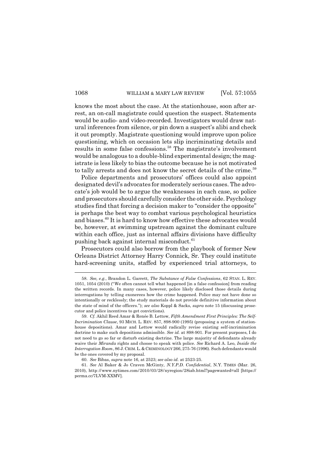knows the most about the case. At the stationhouse, soon after arrest, an on-call magistrate could question the suspect. Statements would be audio- and video-recorded. Investigators would draw natural inferences from silence, or pin down a suspect's alibi and check it out promptly. Magistrate questioning would improve upon police questioning, which on occasion lets slip incriminating details and results in some false confessions.<sup>58</sup> The magistrate's involvement would be analogous to a double-blind experimental design; the magistrate is less likely to bias the outcome because he is not motivated to tally arrests and does not know the secret details of the crime.<sup>59</sup>

Police departments and prosecutors' offices could also appoint designated devil's advocates for moderately serious cases. The advocate's job would be to argue the weaknesses in each case, so police and prosecutors should carefully consider the other side. Psychology studies find that forcing a decision maker to "consider the opposite" is perhaps the best way to combat various psychological heuristics and biases.<sup>60</sup> It is hard to know how effective these advocates would be, however, at swimming upstream against the dominant culture within each office, just as internal affairs divisions have difficulty pushing back against internal misconduct. $61$ 

Prosecutors could also borrow from the playbook of former New Orleans District Attorney Harry Connick, Sr. They could institute hard-screening units, staffed by experienced trial attorneys, to

<sup>58.</sup> *See, e.g.*, Brandon L. Garrett, *The Substance of False Confessions*, 62 STAN. L. REV. 1051, 1054 (2010) (We often cannot tell what happened [in a false confession] from reading the written records. In many cases, however, police likely disclosed those details during interrogations by telling exonerees how the crime happened. Police may not have done so intentionally or recklessly; the study materials do not provide definitive information about the state of mind of the officers.); *see also* Koppl & Sacks, *supra* note 15 (discussing prosecutor and police incentives to get convictions).

<sup>59.</sup> *Cf.* Akhil Reed Amar & Renée B. Lettow, *Fifth Amendment First Principles: The Self-Incrimination Clause*, 93 MICH. L. REV. 857, 898-900 (1995) (proposing a system of stationhouse depositions). Amar and Lettow would radically revise existing self-incrimination doctrine to make such depositions admissible. *See id.* at 898-901. For present purposes, I do not need to go so far or disturb existing doctrine. The large majority of defendants already waive their *Miranda* rights and choose to speak with police. *See* Richard A. Leo, *Inside the Interrogation Room*, 86 J. CRIM.L.& CRIMINOLOGY 266, 275-76 (1996). Such defendants would be the ones covered by my proposal.

<sup>60.</sup> *See* Bibas, *supra* note 16, at 2523; *see also id.* at 2523-25.

<sup>61.</sup> *See* Al Baker & Jo Craven McGinty, *N.Y.P.D. Confidential*, N.Y. TIMES (Mar. 26, 2010), http://www.nytimes.com/2010/03/28/nyregion/28iab.html?pagewanted=all [https:// perma.cc/7LVM-XXMV].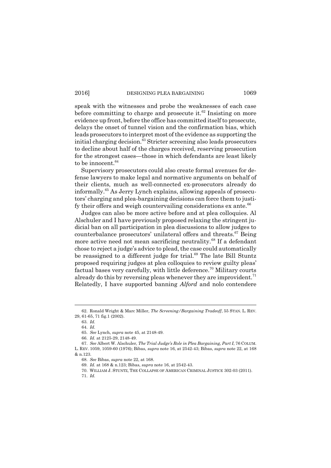speak with the witnesses and probe the weaknesses of each case before committing to charge and prosecute it. $62$  Insisting on more evidence up front, before the office has committed itself to prosecute, delays the onset of tunnel vision and the confirmation bias, which leads prosecutors to interpret most of the evidence as supporting the initial charging decision. $63$  Stricter screening also leads prosecutors to decline about half of the charges received, reserving prosecution for the strongest cases—those in which defendants are least likely to be innocent.<sup>64</sup>

Supervisory prosecutors could also create formal avenues for defense lawyers to make legal and normative arguments on behalf of their clients, much as well-connected ex-prosecutors already do informally.<sup>65</sup> As Jerry Lynch explains, allowing appeals of prosecutors' charging and plea-bargaining decisions can force them to justify their offers and weigh countervailing considerations  $ex$  ante.<sup>66</sup>

Judges can also be more active before and at plea colloquies. Al Alschuler and I have previously proposed relaxing the stringent judicial ban on all participation in plea discussions to allow judges to counterbalance prosecutors' unilateral offers and threats.<sup>67</sup> Being more active need not mean sacrificing neutrality.<sup>68</sup> If a defendant chose to reject a judge's advice to plead, the case could automatically be reassigned to a different judge for trial.<sup>69</sup> The late Bill Stuntz proposed requiring judges at plea colloquies to review guilty pleas factual bases very carefully, with little deference.<sup>70</sup> Military courts already do this by reversing pleas whenever they are improvident.<sup>71</sup> Relatedly, I have supported banning *Alford* and nolo contendere

<sup>62.</sup> Ronald Wright & Marc Miller, *The Screening/Bargaining Tradeoff*, 55 STAN. L. REV. 29, 61-65, 71 fig.1 (2002).

<sup>63.</sup> *Id.*

<sup>64.</sup> *Id.*

<sup>65.</sup> *See* Lynch, *supra* note 45, at 2148-49.

<sup>66.</sup> *Id.* at 2125-29, 2148-49.

<sup>67.</sup> *See* Albert W. Alschuler, *The Trial Judges Role in Plea Bargaining, Part I*, 76 COLUM. L. REV. 1059, 1059-60 (1976); Bibas, *supra* note 16, at 2542-43; Bibas, *supra* note 22, at 168 & n.123.

<sup>68.</sup> *See* Bibas, *supra* note 22, at 168.

<sup>69.</sup> *Id.* at 168 & n.123; Bibas, *supra* note 16, at 2542-43.

<sup>70.</sup> WILLIAM J. STUNTZ, THE COLLAPSE OF AMERICAN CRIMINAL JUSTICE 302-03 (2011).

<sup>71.</sup> *Id.*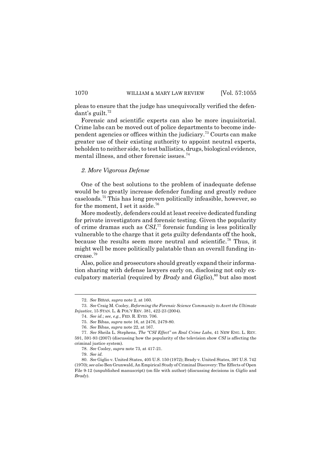pleas to ensure that the judge has unequivocally verified the defen $d$ ant's guilt.<sup>72</sup>

Forensic and scientific experts can also be more inquisitorial. Crime labs can be moved out of police departments to become independent agencies or offices within the judiciary.<sup>73</sup> Courts can make greater use of their existing authority to appoint neutral experts, beholden to neither side, to test ballistics, drugs, biological evidence, mental illness, and other forensic issues.<sup>74</sup>

# *2. More Vigorous Defense*

One of the best solutions to the problem of inadequate defense would be to greatly increase defender funding and greatly reduce caseloads.<sup>75</sup> This has long proven politically infeasible, however, so for the moment, I set it aside.<sup>76</sup>

More modestly, defenders could at least receive dedicated funding for private investigators and forensic testing. Given the popularity of crime dramas such as *CSI*, <sup>77</sup> forensic funding is less politically vulnerable to the charge that it gets guilty defendants off the hook, because the results seem more neutral and scientific.<sup>78</sup> Thus, it might well be more politically palatable than an overall funding increase.<sup>79</sup>

Also, police and prosecutors should greatly expand their information sharing with defense lawyers early on, disclosing not only exculpatory material (required by *Brady* and *Giglio*),<sup>80</sup> but also most

<sup>72.</sup> *See* BIBAS, *supra* note 2, at 160.

<sup>73.</sup> *See* Craig M. Cooley, *Reforming the Forensic Science Community to Avert the Ultimate Injustice*, 15 STAN. L. & POLY REV. 381, 422-23 (2004).

<sup>74.</sup> *See id.*; *see, e.g.*, FED. R. EVID. 706.

<sup>75.</sup> *See* Bibas, *supra* note 16, at 2476, 2479-80.

<sup>76.</sup> *See* Bibas, *supra* note 22, at 167.

<sup>77.</sup> *See* Sheila L. Stephens, *The CSI Effect on Real Crime Labs*, 41 NEW ENG. L. REV. 591, 591-93 (2007) (discussing how the popularity of the television show *CSI* is affecting the criminal justice system).

<sup>78.</sup> *See* Cooley, *supra* note 73, at 417-21.

<sup>79.</sup> *See id.*

<sup>80.</sup> *See* Giglio v. United States, 405 U.S. 150 (1972); Brady v. United States, 397 U.S. 742 (1970); *see also* Ben Grunwald, An Empirical Study of Criminal Discovery: The Effects of Open File 9-12 (unpublished manuscript) (on file with author) (discussing decisions in *Giglio* and *Brady*).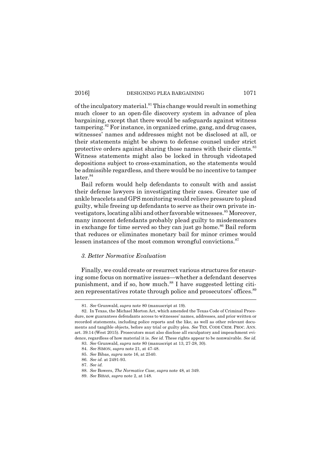of the inculpatory material. $81$  This change would result in something much closer to an open-file discovery system in advance of plea bargaining, except that there would be safeguards against witness tampering.<sup>82</sup> For instance, in organized crime, gang, and drug cases, witnesses' names and addresses might not be disclosed at all, or their statements might be shown to defense counsel under strict protective orders against sharing those names with their clients.<sup>83</sup> Witness statements might also be locked in through videotaped depositions subject to cross-examination, so the statements would be admissible regardless, and there would be no incentive to tamper  $later.<sup>84</sup>$ 

Bail reform would help defendants to consult with and assist their defense lawyers in investigating their cases. Greater use of ankle bracelets and GPS monitoring would relieve pressure to plead guilty, while freeing up defendants to serve as their own private investigators, locating alibi and other favorable witnesses.<sup>85</sup> Moreover, many innocent defendants probably plead guilty to misdemeanors in exchange for time served so they can just go home.<sup>86</sup> Bail reform that reduces or eliminates monetary bail for minor crimes would lessen instances of the most common wrongful convictions.<sup>87</sup>

# *3. Better Normative Evaluation*

Finally, we could create or resurrect various structures for ensuring some focus on normative issues—whether a defendant deserves punishment, and if so, how much.<sup>88</sup> I have suggested letting citizen representatives rotate through police and prosecutors' offices.<sup>89</sup>

<sup>81.</sup> *See* Grunwald, *supra* note 80 (manuscript at 19).

<sup>82.</sup> In Texas, the Michael Morton Act, which amended the Texas Code of Criminal Procedure, now guarantees defendants access to witnesses names, addresses, and prior written or recorded statements, including police reports and the like, as well as other relevant documents and tangible objects, before any trial or guilty plea. *See* TEX. CODE CRIM. PROC. ANN. art. 39.14 (West 2015). Prosecutors must also disclose all exculpatory and impeachment evidence, regardless of how material it is. *See id.* These rights appear to be nonwaivable. *See id.*

<sup>83.</sup> *See* Grunwald, *supra* note 80 (manuscript at 13, 27-28, 30).

<sup>84.</sup> *See* SIMON, *supra* note 21, at 47-48.

<sup>85.</sup> *See* Bibas, *supra* note 16, at 2540.

<sup>86.</sup> *See id.* at 2491-93.

<sup>87.</sup> *See id.*

<sup>88.</sup> *See* Bowers, *The Normative Case*, *supra* note 48, at 349.

<sup>89.</sup> *See* BIBAS, *supra* note 2, at 148.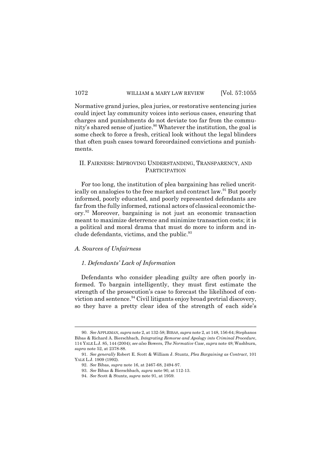Normative grand juries, plea juries, or restorative sentencing juries could inject lay community voices into serious cases, ensuring that charges and punishments do not deviate too far from the community's shared sense of justice.<sup>90</sup> Whatever the institution, the goal is some check to force a fresh, critical look without the legal blinders that often push cases toward foreordained convictions and punishments.

# II. FAIRNESS: IMPROVING UNDERSTANDING, TRANSPARENCY, AND **PARTICIPATION**

For too long, the institution of plea bargaining has relied uncritically on analogies to the free market and contract law.<sup>91</sup> But poorly informed, poorly educated, and poorly represented defendants are far from the fully informed, rational actors of classical economic theory.<sup>92</sup> Moreover, bargaining is not just an economic transaction meant to maximize deterrence and minimize transaction costs; it is a political and moral drama that must do more to inform and include defendants, victims, and the public.<sup>93</sup>

# *A. Sources of Unfairness*

#### *1. Defendants Lack of Information*

Defendants who consider pleading guilty are often poorly informed. To bargain intelligently, they must first estimate the strength of the prosecution's case to forecast the likelihood of conviction and sentence.<sup>94</sup> Civil litigants enjoy broad pretrial discovery, so they have a pretty clear idea of the strength of each side's

<sup>90.</sup> *See* APPLEMAN, *supra* note 2, at 132-58; BIBAS, *supra* note 2, at 148, 156-64; Stephanos Bibas & Richard A. Bierschbach, *Integrating Remorse and Apology into Criminal Procedure*, 114 YALE L.J. 85, 144 (2004); *see also* Bowers, *The Normative Case*, *supra* note 48; Washburn, *supra* note 52, at 2378-88.

<sup>91.</sup> *See generally* Robert E. Scott & William J. Stuntz, *Plea Bargaining as Contract*, 101 YALE L.J. 1909 (1992).

<sup>92.</sup> *See* Bibas, *supra* note 16, at 2467-68, 2494-97.

<sup>93.</sup> *See* Bibas & Bierschbach, *supra* note 90, at 112-13.

<sup>94.</sup> *See* Scott & Stuntz, *supra* note 91, at 1959.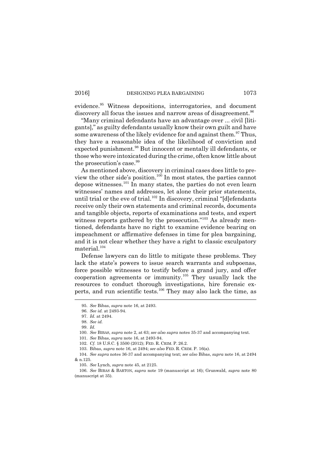evidence.<sup>95</sup> Witness depositions, interrogatories, and document discovery all focus the issues and narrow areas of disagreement.<sup>96</sup>

Many criminal defendants have an advantage over ... civil [litigants]," as guilty defendants usually know their own guilt and have some awareness of the likely evidence for and against them.<sup>97</sup> Thus, they have a reasonable idea of the likelihood of conviction and expected punishment.<sup>98</sup> But innocent or mentally ill defendants, or those who were intoxicated during the crime, often know little about the prosecution's case.<sup>99</sup>

As mentioned above, discovery in criminal cases does little to preview the other side's position.<sup>100</sup> In most states, the parties cannot depose witnesses.<sup>101</sup> In many states, the parties do not even learn witnesses' names and addresses, let alone their prior statements, until trial or the eve of trial.<sup>102</sup> In discovery, criminal "[d]efendants receive only their own statements and criminal records, documents and tangible objects, reports of examinations and tests, and expert witness reports gathered by the prosecution."<sup>103</sup> As already mentioned, defendants have no right to examine evidence bearing on impeachment or affirmative defenses in time for plea bargaining, and it is not clear whether they have a right to classic exculpatory material.<sup>104</sup>

Defense lawyers can do little to mitigate these problems. They lack the state's powers to issue search warrants and subpoenas, force possible witnesses to testify before a grand jury, and offer cooperation agreements or immunity.<sup>105</sup> They usually lack the resources to conduct thorough investigations, hire forensic experts, and run scientific tests.<sup>106</sup> They may also lack the time, as

100. *See* BIBAS, *supra* note 2, at 63; *see also supra* notes 35-37 and accompanying text.

101. *See* Bibas, *supra* note 16, at 2493-94.

<sup>95.</sup> *See* Bibas, *supra* note 16, at 2493.

<sup>96.</sup> *See id.* at 2493-94.

<sup>97.</sup> *Id.* at 2494.

<sup>98.</sup> *See id.*

<sup>99.</sup> *Id.*

<sup>102.</sup> *Cf.* 18 U.S.C. § 3500 (2012); FED. R. CRIM. P. 26.2.

<sup>103.</sup> Bibas, *supra* note 16, at 2494; *see also* FED. R. CRIM. P. 16(a).

<sup>104.</sup> *See supra* notes 36-37 and accompanying text; *see also* Bibas, *supra* note 16, at 2494 & n.125.

<sup>105.</sup> *See* Lynch, *supra* note 45, at 2125.

<sup>106.</sup> *See* BIBAS & BARTON, *supra* note 19 (manuscript at 16); Grunwald, *supra* note 80 (manuscript at 35).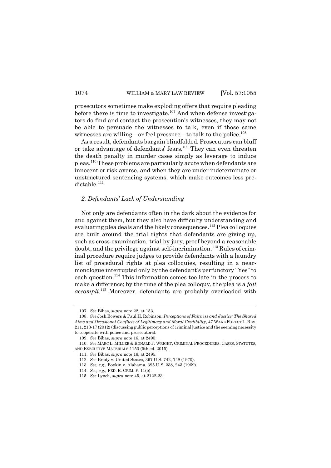prosecutors sometimes make exploding offers that require pleading before there is time to investigate.<sup>107</sup> And when defense investigators do find and contact the prosecution's witnesses, they may not be able to persuade the witnesses to talk, even if those same witnesses are willing—or feel pressure—to talk to the police. $^{108}$ 

As a result, defendants bargain blindfolded. Prosecutors can bluff or take advantage of defendants' fears.<sup>109</sup> They can even threaten the death penalty in murder cases simply as leverage to induce pleas.<sup>110</sup> These problems are particularly acute when defendants are innocent or risk averse, and when they are under indeterminate or unstructured sentencing systems, which make outcomes less predictable.<sup>111</sup>

# *2. Defendants Lack of Understanding*

Not only are defendants often in the dark about the evidence for and against them, but they also have difficulty understanding and evaluating plea deals and the likely consequences.<sup>112</sup> Plea colloquies are built around the trial rights that defendants are giving up, such as cross-examination, trial by jury, proof beyond a reasonable doubt, and the privilege against self-incrimination.<sup>113</sup> Rules of criminal procedure require judges to provide defendants with a laundry list of procedural rights at plea colloquies, resulting in a nearmonologue interrupted only by the defendant's perfunctory "Yes" to each question.<sup>114</sup> This information comes too late in the process to make a difference; by the time of the plea colloquy, the plea is a *fait accompli*. <sup>115</sup> Moreover, defendants are probably overloaded with

<sup>107.</sup> *See* Bibas, *supra* note 22, at 153.

<sup>108.</sup> *See* Josh Bowers & Paul H. Robinson, *Perceptions of Fairness and Justice: The Shared Aims and Occasional Conflicts of Legitimacy and Moral Credibility*, 47 WAKE FOREST L. REV. 211, 213-17 (2012) (discussing public perceptions of criminal justice and the seeming necessity to cooperate with police and prosecutors).

<sup>109.</sup> *See* Bibas, *supra* note 16, at 2495.

<sup>110.</sup> *See* MARC L. MILLER & RONALD F. WRIGHT, CRIMINAL PROCEDURES: CASES, STATUTES, AND EXECUTIVE MATERIALS 1150 (5th ed. 2015).

<sup>111.</sup> *See* Bibas, *supra* note 16, at 2495.

<sup>112.</sup> *See* Brady v. United States, 397 U.S. 742, 748 (1970).

<sup>113.</sup> *See, e.g.*, Boykin v. Alabama, 395 U.S. 238, 243 (1969).

<sup>114.</sup> *See, e.g.*, FED. R. CRIM. P. 11(b).

<sup>115.</sup> *See* Lynch, *supra* note 45, at 2122-23.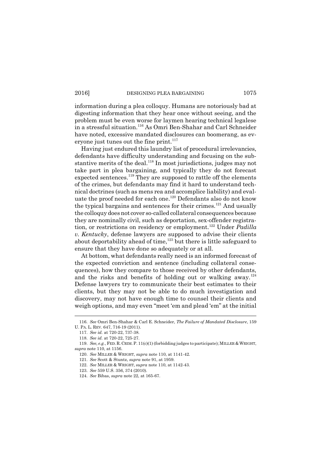information during a plea colloquy. Humans are notoriously bad at digesting information that they hear once without seeing, and the problem must be even worse for laymen hearing technical legalese in a stressful situation.<sup>116</sup> As Omri Ben-Shahar and Carl Schneider have noted, excessive mandated disclosures can boomerang, as everyone just tunes out the fine print. $117$ 

Having just endured this laundry list of procedural irrelevancies, defendants have difficulty understanding and focusing on the substantive merits of the deal.<sup>118</sup> In most jurisdictions, judges may not take part in plea bargaining, and typically they do not forecast expected sentences.<sup>119</sup> They are supposed to rattle off the elements of the crimes, but defendants may find it hard to understand technical doctrines (such as mens rea and accomplice liability) and evaluate the proof needed for each one.<sup>120</sup> Defendants also do not know the typical bargains and sentences for their crimes.<sup>121</sup> And usually the colloquy does not cover so-called collateral consequences because they are nominally civil, such as deportation, sex-offender registration, or restrictions on residency or employment.<sup>122</sup> Under *Padilla v. Kentucky*, defense lawyers are supposed to advise their clients about deportability ahead of time,  $123$  but there is little safeguard to ensure that they have done so adequately or at all.

At bottom, what defendants really need is an informed forecast of the expected conviction and sentence (including collateral consequences), how they compare to those received by other defendants, and the risks and benefits of holding out or walking away.<sup>124</sup> Defense lawyers try to communicate their best estimates to their clients, but they may not be able to do much investigation and discovery, may not have enough time to counsel their clients and weigh options, and may even "meet 'em and plead 'em" at the initial

<sup>116.</sup> *See* Omri Ben-Shahar & Carl E. Schneider, *The Failure of Mandated Disclosure*, 159 U. PA. L. REV. 647, 716-19 (2011).

<sup>117.</sup> *See id.* at 720-22, 737-38.

<sup>118.</sup> *See id.* at 720-22, 725-27.

<sup>119.</sup> *See, e.g.*, FED. R. CRIM. P. 11(c)(1) (forbidding judges to participate); MILLER & WRIGHT, *supra* note 110, at 1156.

<sup>120.</sup> *See* MILLER & WRIGHT, *supra* note 110, at 1141-42.

<sup>121.</sup> *See* Scott & Stuntz, *supra* note 91, at 1959.

<sup>122.</sup> *See* MILLER & WRIGHT, *supra* note 110, at 1142-43.

<sup>123.</sup> *See* 559 U.S. 356, 374 (2010).

<sup>124.</sup> *See* Bibas, *supra* note 22, at 165-67.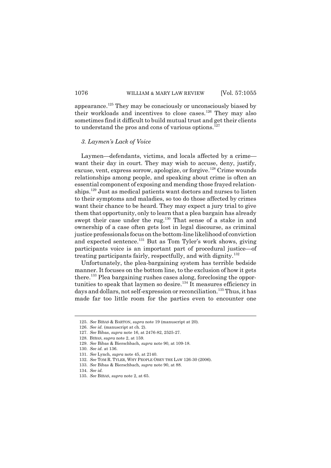appearance.<sup>125</sup> They may be consciously or unconsciously biased by their workloads and incentives to close cases.<sup>126</sup> They may also sometimes find it difficult to build mutual trust and get their clients to understand the pros and cons of various options. $127$ 

#### *3. Laymens Lack of Voice*

Laymen—defendants, victims, and locals affected by a crime want their day in court. They may wish to accuse, deny, justify, excuse, vent, express sorrow, apologize, or forgive.<sup>128</sup> Crime wounds relationships among people, and speaking about crime is often an essential component of exposing and mending those frayed relationships.<sup>129</sup> Just as medical patients want doctors and nurses to listen to their symptoms and maladies, so too do those affected by crimes want their chance to be heard. They may expect a jury trial to give them that opportunity, only to learn that a plea bargain has already swept their case under the rug.<sup>130</sup> That sense of a stake in and ownership of a case often gets lost in legal discourse, as criminal justice professionals focus on the bottom-line likelihood of conviction and expected sentence.<sup>131</sup> But as Tom Tyler's work shows, giving participants voice is an important part of procedural justice-of treating participants fairly, respectfully, and with dignity. $132$ 

Unfortunately, the plea-bargaining system has terrible bedside manner. It focuses on the bottom line, to the exclusion of how it gets there.<sup>133</sup> Plea bargaining rushes cases along, foreclosing the opportunities to speak that laymen so desire.<sup>134</sup> It measures efficiency in days and dollars, not self-expression or reconciliation.<sup>135</sup> Thus, it has made far too little room for the parties even to encounter one

<sup>125.</sup> *See* BIBAS & BARTON, *supra* note 19 (manuscript at 20).

<sup>126.</sup> *See id.* (manuscript at ch. 2).

<sup>127.</sup> *See* Bibas, *supra* note 16, at 2476-82, 2525-27.

<sup>128.</sup> BIBAS, *supra* note 2, at 159.

<sup>129.</sup> *See* Bibas & Bierschbach, *supra* note 90, at 109-18.

<sup>130.</sup> *See id.* at 136.

<sup>131.</sup> *See* Lynch, *supra* note 45, at 2140.

<sup>132.</sup> *See* TOM R. TYLER, WHY PEOPLE OBEY THE LAW 126-30 (2006).

<sup>133.</sup> *See* Bibas & Bierschbach, *supra* note 90, at 88.

<sup>134.</sup> *See id.*

<sup>135.</sup> *See* BIBAS, *supra* note 2, at 65.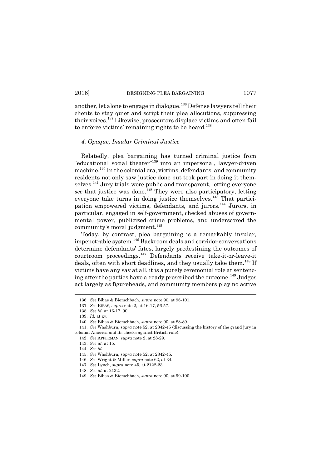another, let alone to engage in dialogue.<sup>136</sup> Defense lawyers tell their clients to stay quiet and script their plea allocutions, suppressing their voices.<sup>137</sup> Likewise, prosecutors displace victims and often fail to enforce victims' remaining rights to be heard.<sup>138</sup>

## *4. Opaque, Insular Criminal Justice*

Relatedly, plea bargaining has turned criminal justice from educational social theater <sup>139</sup> into an impersonal, lawyer-driven machine.<sup>140</sup> In the colonial era, victims, defendants, and community residents not only saw justice done but took part in doing it themselves.<sup>141</sup> Jury trials were public and transparent, letting everyone see that justice was done.<sup>142</sup> They were also participatory, letting everyone take turns in doing justice themselves.<sup>143</sup> That participation empowered victims, defendants, and jurors.<sup>144</sup> Jurors, in particular, engaged in self-government, checked abuses of governmental power, publicized crime problems, and underscored the community's moral judgment.<sup>145</sup>

Today, by contrast, plea bargaining is a remarkably insular, impenetrable system.<sup>146</sup> Backroom deals and corridor conversations determine defendants' fates, largely predestining the outcomes of courtroom proceedings.<sup>147</sup> Defendants receive take-it-or-leave-it deals, often with short deadlines, and they usually take them.<sup>148</sup> If victims have any say at all, it is a purely ceremonial role at sentencing after the parties have already prescribed the outcome.<sup>149</sup> Judges act largely as figureheads, and community members play no active

<sup>136.</sup> *See* Bibas & Bierschbach, *supra* note 90, at 96-101.

<sup>137.</sup> *See* BIBAS, *supra* note 2, at 16-17, 56-57.

<sup>138.</sup> *See id.* at 16-17, 90.

<sup>139.</sup> *Id.* at xv.

<sup>140.</sup> *See* Bibas & Bierschbach, *supra* note 90, at 88-89.

<sup>141.</sup> *See* Washburn, *supra* note 52, at 2342-45 (discussing the history of the grand jury in colonial America and its checks against British rule).

<sup>142.</sup> *See* APPLEMAN, *supra* note 2, at 28-29.

<sup>143.</sup> *See id.* at 15.

<sup>144.</sup> *See id.*

<sup>145.</sup> *See* Washburn, *supra* note 52, at 2342-45.

<sup>146.</sup> *See* Wright & Miller, *supra* note 62, at 34.

<sup>147.</sup> *See* Lynch, *supra* note 45, at 2122-23.

<sup>148.</sup> *See id.* at 2132.

<sup>149.</sup> *See* Bibas & Bierschbach, *supra* note 90, at 99-100.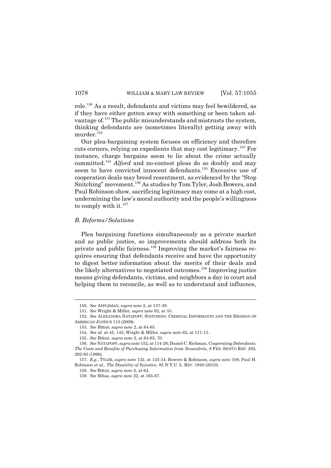role.<sup>150</sup> As a result, defendants and victims may feel bewildered, as if they have either gotten away with something or been taken advantage of.<sup>151</sup> The public misunderstands and mistrusts the system, thinking defendants are (sometimes literally) getting away with murder. $152$ 

Our plea-bargaining system focuses on efficiency and therefore cuts corners, relying on expedients that may cost legitimacy.<sup>153</sup> For instance, charge bargains seem to lie about the crime actually committed.<sup>154</sup> *Alford* and no-contest pleas do so doubly and may seem to have convicted innocent defendants.<sup>155</sup> Excessive use of cooperation deals may breed resentment, as evidenced by the "Stop" Snitching" movement.<sup>156</sup> As studies by Tom Tyler, Josh Bowers, and Paul Robinson show, sacrificing legitimacy may come at a high cost, undermining the law's moral authority and the people's willingness to comply with it.<sup>157</sup>

# *B. Reforms/Solutions*

Plea bargaining functions simultaneously as a private market and as public justice, so improvements should address both its private and public fairness.<sup>158</sup> Improving the market's fairness requires ensuring that defendants receive and have the opportunity to digest better information about the merits of their deals and the likely alternatives to negotiated outcomes.<sup>159</sup> Improving justice means giving defendants, victims, and neighbors a day in court and helping them to reconcile, as well as to understand and influence,

<sup>150.</sup> *See* APPLEMAN, *supra* note 2, at 137-39.

<sup>151.</sup> *See* Wright & Miller, *supra* note 62, at 33.

<sup>152.</sup> *See* ALEXANDRA NATAPOFF, SNITCHING: CRIMINAL INFORMANTS AND THE EROSION OF AMERICAN JUSTICE 115 (2009).

<sup>153.</sup> *See* BIBAS, *supra* note 2, at 64-65.

<sup>154.</sup> *See id.* at 45, 145; Wright & Miller, *supra* note 62, at 111-13.

<sup>155.</sup> *See* BIBAS, *supra* note 2, at 64-65, 70.

<sup>156.</sup> *See* NATAPOFF, *supra* note 152, at 114-26; Daniel C. Richman, *Cooperating Defendants: The Costs and Benefits of Purchasing Information from Scoundrels*, 8 FED. SENTG REP. 292, 292-93 (1996).

<sup>157.</sup> *E.g.*, TYLER, *supra* note 132, at 125-34; Bowers & Robinson, *supra* note 108; Paul H. Robinson et al., *The Disutility of Injustice*, 85 N.Y.U. L. REV. 1940 (2010).

<sup>158.</sup> *See* BIBAS, *supra* note 2, at 64.

<sup>159.</sup> *See* Bibas, *supra* note 22, at 165-67.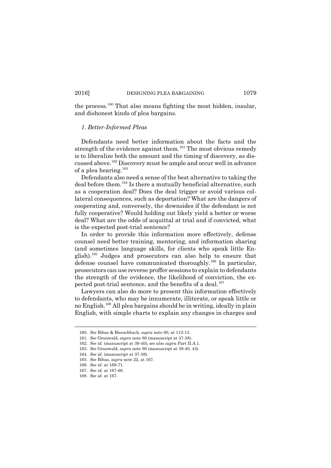the process.<sup>160</sup> That also means fighting the most hidden, insular, and dishonest kinds of plea bargains.

## *1. Better-Informed Pleas*

Defendants need better information about the facts and the strength of the evidence against them.<sup>161</sup> The most obvious remedy is to liberalize both the amount and the timing of discovery, as discussed above.<sup>162</sup> Discovery must be ample and occur well in advance of a plea hearing.<sup>163</sup>

Defendants also need a sense of the best alternative to taking the deal before them.<sup>164</sup> Is there a mutually beneficial alternative, such as a cooperation deal? Does the deal trigger or avoid various collateral consequences, such as deportation? What are the dangers of cooperating and, conversely, the downsides if the defendant is not fully cooperative? Would holding out likely yield a better or worse deal? What are the odds of acquittal at trial and if convicted, what is the expected post-trial sentence?

In order to provide this information more effectively, defense counsel need better training, mentoring, and information sharing (and sometimes language skills, for clients who speak little English).<sup>165</sup> Judges and prosecutors can also help to ensure that defense counsel have communicated thoroughly.<sup>166</sup> In particular, prosecutors can use reverse proffer sessions to explain to defendants the strength of the evidence, the likelihood of conviction, the expected post-trial sentence, and the benefits of a deal.<sup>167</sup>

Lawyers can also do more to present this information effectively to defendants, who may be innumerate, illiterate, or speak little or no English.<sup>168</sup> All plea bargains should be in writing, ideally in plain English, with simple charts to explain any changes in charges and

<sup>160.</sup> *See* Bibas & Bierschbach, *supra* note 90, at 112-13.

<sup>161.</sup> *See* Grunwald, *supra* note 80 (manuscript at 37-38).

<sup>162.</sup> *See id.* (manuscript at 39-40); *see also supra* Part II.A.1.

<sup>163.</sup> *See* Grunwald, *supra* note 80 (manuscript at 39-40, 43).

<sup>164.</sup> *See id.* (manuscript at 37-38).

<sup>165.</sup> *See* Bibas, *supra* note 22, at 167.

<sup>166.</sup> *See id.* at 169-71.

<sup>167.</sup> *See id.* at 167-68.

<sup>168.</sup> *See id.* at 167.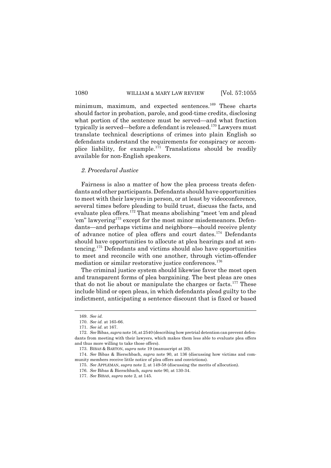minimum, maximum, and expected sentences.<sup>169</sup> These charts should factor in probation, parole, and good-time credits, disclosing what portion of the sentence must be served—and what fraction typically is served—before a defendant is released.<sup>170</sup> Lawyers must translate technical descriptions of crimes into plain English so defendants understand the requirements for conspiracy or accomplice liability, for example.<sup>171</sup> Translations should be readily available for non-English speakers.

# *2. Procedural Justice*

Fairness is also a matter of how the plea process treats defendants and other participants. Defendants should have opportunities to meet with their lawyers in person, or at least by videoconference, several times before pleading to build trust, discuss the facts, and evaluate plea offers. $1^{72}$  That means abolishing "meet 'em and plead 'em" lawyering<sup>173</sup> except for the most minor misdemeanors. Defendants—and perhaps victims and neighbors—should receive plenty of advance notice of plea offers and court dates.<sup>174</sup> Defendants should have opportunities to allocute at plea hearings and at sentencing.<sup>175</sup> Defendants and victims should also have opportunities to meet and reconcile with one another, through victim-offender mediation or similar restorative justice conferences.<sup>176</sup>

The criminal justice system should likewise favor the most open and transparent forms of plea bargaining. The best pleas are ones that do not lie about or manipulate the charges or facts.<sup>177</sup> These include blind or open pleas, in which defendants plead guilty to the indictment, anticipating a sentence discount that is fixed or based

<sup>169.</sup> *See id.*

<sup>170.</sup> *See id.* at 165-66.

<sup>171.</sup> *See id.* at 167.

<sup>172.</sup> *See* Bibas, *supra* note 16, at 2540 (describing how pretrial detention can prevent defendants from meeting with their lawyers, which makes them less able to evaluate plea offers and thus more willing to take those offers).

<sup>173.</sup> BIBAS & BARTON, *supra* note 19 (manuscript at 20).

<sup>174.</sup> *See* Bibas & Bierschbach, *supra* note 90, at 136 (discussing how victims and community members receive little notice of plea offers and convictions).

<sup>175.</sup> *See* APPLEMAN, *supra* note 2, at 149-58 (discussing the merits of allocution).

<sup>176.</sup> *See* Bibas & Bierschbach, *supra* note 90, at 130-34.

<sup>177.</sup> *See* BIBAS, *supra* note 2, at 145.